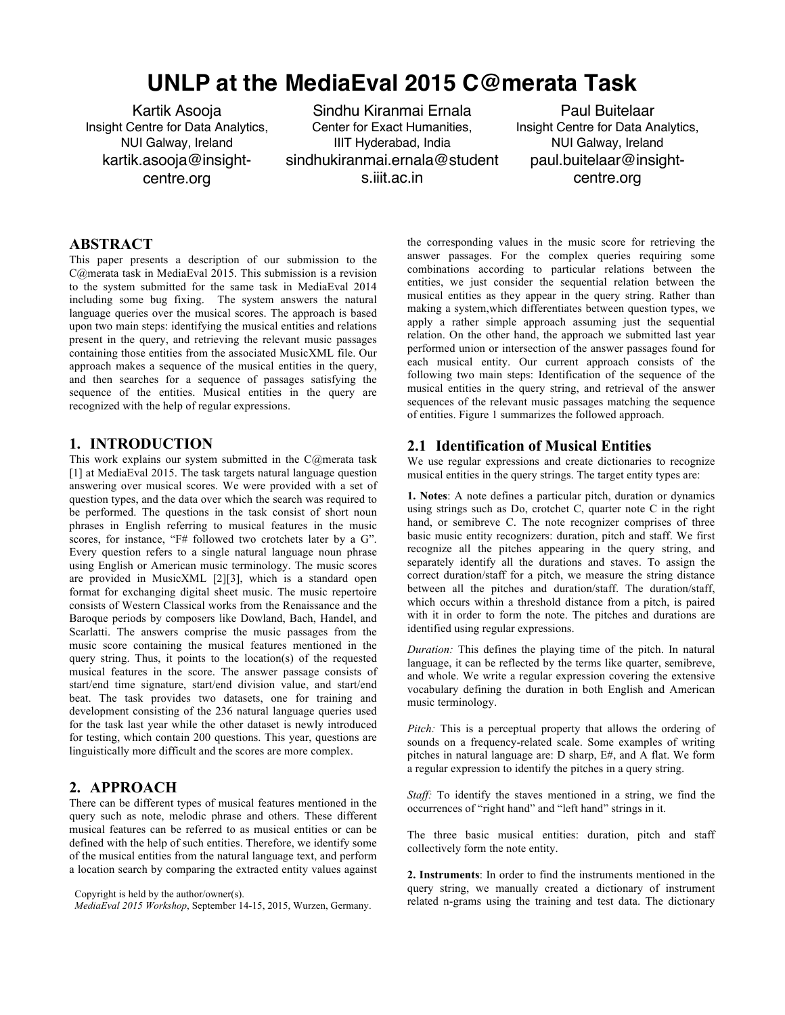# **UNLP at the MediaEval 2015 C@merata Task**

Kartik Asooja Insight Centre for Data Analytics, NUI Galway, Ireland kartik.asooja@insightcentre.org

Sindhu Kiranmai Ernala Center for Exact Humanities, IIIT Hyderabad, India sindhukiranmai.ernala@student s.iiit.ac.in

Paul Buitelaar Insight Centre for Data Analytics, NUI Galway, Ireland paul.buitelaar@insightcentre.org

## **ABSTRACT**

This paper presents a description of our submission to the C@merata task in MediaEval 2015. This submission is a revision to the system submitted for the same task in MediaEval 2014 including some bug fixing. The system answers the natural language queries over the musical scores. The approach is based upon two main steps: identifying the musical entities and relations present in the query, and retrieving the relevant music passages containing those entities from the associated MusicXML file. Our approach makes a sequence of the musical entities in the query, and then searches for a sequence of passages satisfying the sequence of the entities. Musical entities in the query are recognized with the help of regular expressions.

## **1. INTRODUCTION**

This work explains our system submitted in the C@merata task [1] at MediaEval 2015. The task targets natural language question answering over musical scores. We were provided with a set of question types, and the data over which the search was required to be performed. The questions in the task consist of short noun phrases in English referring to musical features in the music scores, for instance, "F# followed two crotchets later by a G". Every question refers to a single natural language noun phrase using English or American music terminology. The music scores are provided in MusicXML [2][3], which is a standard open format for exchanging digital sheet music. The music repertoire consists of Western Classical works from the Renaissance and the Baroque periods by composers like Dowland, Bach, Handel, and Scarlatti. The answers comprise the music passages from the music score containing the musical features mentioned in the query string. Thus, it points to the location(s) of the requested musical features in the score. The answer passage consists of start/end time signature, start/end division value, and start/end beat. The task provides two datasets, one for training and development consisting of the 236 natural language queries used for the task last year while the other dataset is newly introduced for testing, which contain 200 questions. This year, questions are linguistically more difficult and the scores are more complex.

#### **2. APPROACH**

There can be different types of musical features mentioned in the query such as note, melodic phrase and others. These different musical features can be referred to as musical entities or can be defined with the help of such entities. Therefore, we identify some of the musical entities from the natural language text, and perform a location search by comparing the extracted entity values against

*MediaEval 2015 Workshop*, September 14-15, 2015, Wurzen, Germany.

the corresponding values in the music score for retrieving the answer passages. For the complex queries requiring some combinations according to particular relations between the entities, we just consider the sequential relation between the musical entities as they appear in the query string. Rather than making a system,which differentiates between question types, we apply a rather simple approach assuming just the sequential relation. On the other hand, the approach we submitted last year performed union or intersection of the answer passages found for each musical entity. Our current approach consists of the following two main steps: Identification of the sequence of the musical entities in the query string, and retrieval of the answer sequences of the relevant music passages matching the sequence of entities. Figure 1 summarizes the followed approach.

## **2.1 Identification of Musical Entities**

We use regular expressions and create dictionaries to recognize musical entities in the query strings. The target entity types are:

**1. Notes**: A note defines a particular pitch, duration or dynamics using strings such as Do, crotchet C, quarter note C in the right hand, or semibreve C. The note recognizer comprises of three basic music entity recognizers: duration, pitch and staff. We first recognize all the pitches appearing in the query string, and separately identify all the durations and staves. To assign the correct duration/staff for a pitch, we measure the string distance between all the pitches and duration/staff. The duration/staff, which occurs within a threshold distance from a pitch, is paired with it in order to form the note. The pitches and durations are identified using regular expressions.

*Duration:* This defines the playing time of the pitch. In natural language, it can be reflected by the terms like quarter, semibreve, and whole. We write a regular expression covering the extensive vocabulary defining the duration in both English and American music terminology.

*Pitch:* This is a perceptual property that allows the ordering of sounds on a frequency-related scale. Some examples of writing pitches in natural language are: D sharp, E#, and A flat. We form a regular expression to identify the pitches in a query string.

*Staff:* To identify the staves mentioned in a string, we find the occurrences of "right hand" and "left hand" strings in it.

The three basic musical entities: duration, pitch and staff collectively form the note entity.

**2. Instruments**: In order to find the instruments mentioned in the query string, we manually created a dictionary of instrument related n-grams using the training and test data. The dictionary

Copyright is held by the author/owner(s).